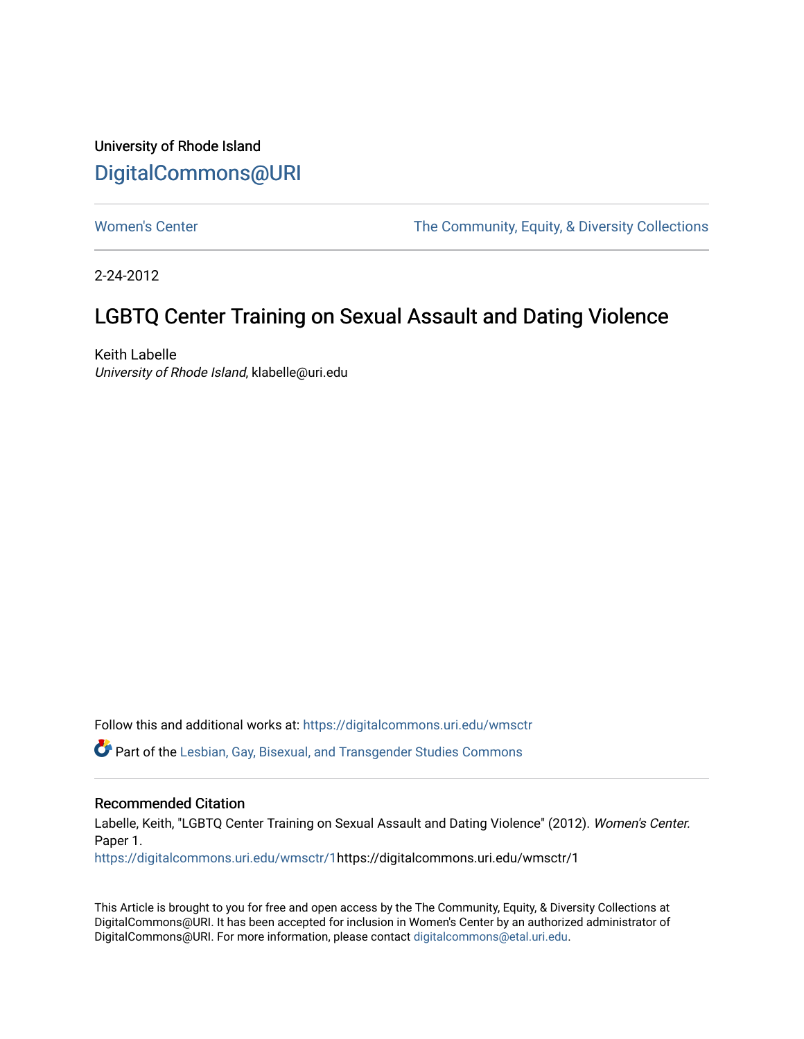## University of Rhode Island [DigitalCommons@URI](https://digitalcommons.uri.edu/)

[Women's Center](https://digitalcommons.uri.edu/wmsctr) The Community, Equity, & Diversity Collections

2-24-2012

# LGBTQ Center Training on Sexual Assault and Dating Violence

Keith Labelle University of Rhode Island, klabelle@uri.edu

Follow this and additional works at: [https://digitalcommons.uri.edu/wmsctr](https://digitalcommons.uri.edu/wmsctr?utm_source=digitalcommons.uri.edu%2Fwmsctr%2F1&utm_medium=PDF&utm_campaign=PDFCoverPages) 

Part of the [Lesbian, Gay, Bisexual, and Transgender Studies Commons](http://network.bepress.com/hgg/discipline/560?utm_source=digitalcommons.uri.edu%2Fwmsctr%2F1&utm_medium=PDF&utm_campaign=PDFCoverPages)

### Recommended Citation

Labelle, Keith, "LGBTQ Center Training on Sexual Assault and Dating Violence" (2012). Women's Center. Paper 1.

[https://digitalcommons.uri.edu/wmsctr/1h](https://digitalcommons.uri.edu/wmsctr/1?utm_source=digitalcommons.uri.edu%2Fwmsctr%2F1&utm_medium=PDF&utm_campaign=PDFCoverPages)ttps://digitalcommons.uri.edu/wmsctr/1

This Article is brought to you for free and open access by the The Community, Equity, & Diversity Collections at DigitalCommons@URI. It has been accepted for inclusion in Women's Center by an authorized administrator of DigitalCommons@URI. For more information, please contact [digitalcommons@etal.uri.edu.](mailto:digitalcommons@etal.uri.edu)